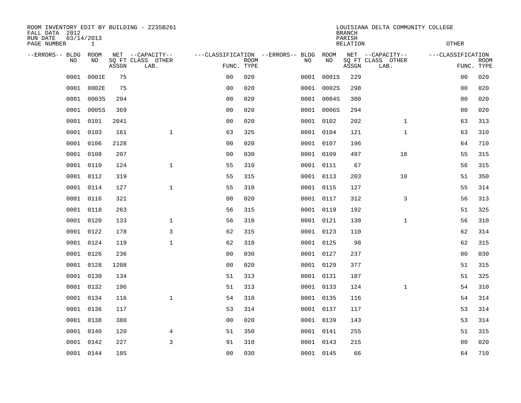| ROOM INVENTORY EDIT BY BUILDING - Z235B261<br>FALL DATA 2012<br>RUN DATE<br>PAGE NUMBER | 03/14/2013<br>$\mathbf{1}$ |       |                                               |                                                 |             |      |            | <b>BRANCH</b><br>PARISH<br><b>RELATION</b> | LOUISIANA DELTA COMMUNITY COLLEGE             | <b>OTHER</b>      |                           |
|-----------------------------------------------------------------------------------------|----------------------------|-------|-----------------------------------------------|-------------------------------------------------|-------------|------|------------|--------------------------------------------|-----------------------------------------------|-------------------|---------------------------|
| --ERRORS-- BLDG<br>NO                                                                   | ROOM<br>NO                 | ASSGN | NET --CAPACITY--<br>SQ FT CLASS OTHER<br>LAB. | ---CLASSIFICATION --ERRORS-- BLDG<br>FUNC. TYPE | <b>ROOM</b> | NO   | ROOM<br>NO | ASSGN                                      | NET --CAPACITY--<br>SQ FT CLASS OTHER<br>LAB. | ---CLASSIFICATION | <b>ROOM</b><br>FUNC. TYPE |
| 0001                                                                                    | 0001E                      | 75    |                                               | 0 <sub>0</sub>                                  | 020         | 0001 | 0001S      | 229                                        |                                               | 0 <sub>0</sub>    | 020                       |
| 0001                                                                                    | 0002E                      | 75    |                                               | 0 <sub>0</sub>                                  | 020         | 0001 | 0002S      | 298                                        |                                               | 0 <sub>0</sub>    | 020                       |
| 0001                                                                                    | 0003S                      | 294   |                                               | 0 <sub>0</sub>                                  | 020         | 0001 | 0004S      | 300                                        |                                               | 0 <sub>0</sub>    | 020                       |
| 0001                                                                                    | 0005S                      | 369   |                                               | 0 <sub>0</sub>                                  | 020         |      | 0001 0006S | 294                                        |                                               | 0 <sub>0</sub>    | 020                       |
| 0001                                                                                    | 0101                       | 2041  |                                               | 0 <sub>0</sub>                                  | 020         |      | 0001 0102  | 202                                        | $\mathbf{1}$                                  | 63                | 313                       |
| 0001                                                                                    | 0103                       | 161   | $\mathbf{1}$                                  | 63                                              | 325         |      | 0001 0104  | 121                                        | $\mathbf{1}$                                  | 63                | 310                       |
| 0001                                                                                    | 0106                       | 2128  |                                               | 0 <sub>0</sub>                                  | 020         |      | 0001 0107  | 196                                        |                                               | 64                | 710                       |
| 0001                                                                                    | 0108                       | 207   |                                               | 0 <sub>0</sub>                                  | 030         |      | 0001 0109  | 497                                        | 18                                            | 55                | 315                       |
| 0001                                                                                    | 0110                       | 124   | $\mathbf{1}$                                  | 55                                              | 310         |      | 0001 0111  | 67                                         |                                               | 56                | 315                       |
| 0001                                                                                    | 0112                       | 319   |                                               | 55                                              | 315         |      | 0001 0113  | 203                                        | 10                                            | 51                | 350                       |
| 0001                                                                                    | 0114                       | 127   | $\mathbf{1}$                                  | 55                                              | 310         |      | 0001 0115  | 127                                        |                                               | 55                | 314                       |
| 0001                                                                                    | 0116                       | 321   |                                               | 0 <sub>0</sub>                                  | 020         |      | 0001 0117  | 312                                        | 3                                             | 56                | 313                       |
| 0001                                                                                    | 0118                       | 263   |                                               | 56                                              | 315         |      | 0001 0119  | 192                                        |                                               | 51                | 325                       |
| 0001                                                                                    | 0120                       | 133   | 1                                             | 56                                              | 310         |      | 0001 0121  | 130                                        | $\mathbf{1}$                                  | 56                | 310                       |
| 0001                                                                                    | 0122                       | 178   | 3                                             | 62                                              | 315         |      | 0001 0123  | 110                                        |                                               | 62                | 314                       |
| 0001                                                                                    | 0124                       | 119   | 1                                             | 62                                              | 310         |      | 0001 0125  | 98                                         |                                               | 62                | 315                       |
| 0001                                                                                    | 0126                       | 236   |                                               | 0 <sub>0</sub>                                  | 030         |      | 0001 0127  | 237                                        |                                               | 00                | 030                       |
| 0001                                                                                    | 0128                       | 1208  |                                               | 0 <sub>0</sub>                                  | 020         |      | 0001 0129  | 377                                        |                                               | 51                | 315                       |
| 0001                                                                                    | 0130                       | 134   |                                               | 51                                              | 313         |      | 0001 0131  | 187                                        |                                               | 51                | 325                       |
| 0001                                                                                    | 0132                       | 196   |                                               | 51                                              | 313         |      | 0001 0133  | 124                                        | $\mathbf{1}$                                  | 54                | 310                       |
|                                                                                         | 0001 0134                  | 116   | $\mathbf{1}$                                  | 54                                              | 310         |      | 0001 0135  | 116                                        |                                               | 54                | 314                       |
| 0001                                                                                    | 0136                       | 117   |                                               | 53                                              | 314         |      | 0001 0137  | 117                                        |                                               | 53                | 314                       |
| 0001                                                                                    | 0138                       | 380   |                                               | 0 <sub>0</sub>                                  | 020         |      | 0001 0139  | 143                                        |                                               | 53                | 314                       |
| 0001                                                                                    | 0140                       | 120   | 4                                             | 51                                              | 350         |      | 0001 0141  | 255                                        |                                               | 51                | 315                       |
| 0001                                                                                    | 0142                       | 227   | $\mathsf{3}$                                  | 91                                              | 310         |      | 0001 0143  | 215                                        |                                               | 0 <sub>0</sub>    | 020                       |
|                                                                                         | 0001 0144                  | 185   |                                               | 00                                              | 030         |      | 0001 0145  | 66                                         |                                               | 64                | 710                       |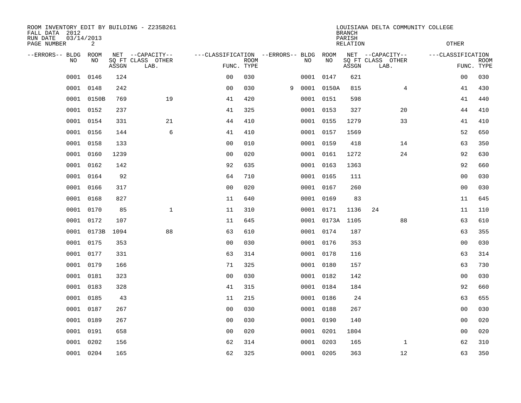| ROOM INVENTORY EDIT BY BUILDING - Z235B261<br>FALL DATA 2012<br>RUN DATE<br>PAGE NUMBER | 03/14/2013<br>2 |       |                                               |                                                      |             |   |    |            | <b>BRANCH</b><br>PARISH<br><b>RELATION</b> | LOUISIANA DELTA COMMUNITY COLLEGE             | <b>OTHER</b>      |                           |
|-----------------------------------------------------------------------------------------|-----------------|-------|-----------------------------------------------|------------------------------------------------------|-------------|---|----|------------|--------------------------------------------|-----------------------------------------------|-------------------|---------------------------|
| --ERRORS-- BLDG<br>NO                                                                   | ROOM<br>NO      | ASSGN | NET --CAPACITY--<br>SQ FT CLASS OTHER<br>LAB. | ---CLASSIFICATION --ERRORS-- BLDG ROOM<br>FUNC. TYPE | <b>ROOM</b> |   | NO | NO         | ASSGN                                      | NET --CAPACITY--<br>SQ FT CLASS OTHER<br>LAB. | ---CLASSIFICATION | <b>ROOM</b><br>FUNC. TYPE |
| 0001                                                                                    | 0146            | 124   |                                               | 0 <sub>0</sub>                                       | 030         |   |    | 0001 0147  | 621                                        |                                               | 00                | 030                       |
| 0001                                                                                    | 0148            | 242   |                                               | 0 <sub>0</sub>                                       | 030         | 9 |    | 0001 0150A | 815                                        | 4                                             | 41                | 430                       |
| 0001                                                                                    | 0150B           | 769   | 19                                            | 41                                                   | 420         |   |    | 0001 0151  | 598                                        |                                               | 41                | 440                       |
| 0001                                                                                    | 0152            | 237   |                                               | 41                                                   | 325         |   |    | 0001 0153  | 327                                        | 20                                            | 44                | 410                       |
| 0001                                                                                    | 0154            | 331   | 21                                            | 44                                                   | 410         |   |    | 0001 0155  | 1279                                       | 33                                            | 41                | 410                       |
| 0001                                                                                    | 0156            | 144   | 6                                             | 41                                                   | 410         |   |    | 0001 0157  | 1569                                       |                                               | 52                | 650                       |
| 0001                                                                                    | 0158            | 133   |                                               | 0 <sub>0</sub>                                       | 010         |   |    | 0001 0159  | 418                                        | 14                                            | 63                | 350                       |
|                                                                                         | 0001 0160       | 1239  |                                               | 0 <sub>0</sub>                                       | 020         |   |    | 0001 0161  | 1272                                       | 24                                            | 92                | 630                       |
| 0001                                                                                    | 0162            | 142   |                                               | 92                                                   | 635         |   |    | 0001 0163  | 1363                                       |                                               | 92                | 660                       |
|                                                                                         | 0001 0164       | 92    |                                               | 64                                                   | 710         |   |    | 0001 0165  | 111                                        |                                               | 0 <sub>0</sub>    | 030                       |
| 0001                                                                                    | 0166            | 317   |                                               | 0 <sub>0</sub>                                       | 020         |   |    | 0001 0167  | 260                                        |                                               | 0 <sub>0</sub>    | 030                       |
|                                                                                         | 0001 0168       | 827   |                                               | 11                                                   | 640         |   |    | 0001 0169  | 83                                         |                                               | 11                | 645                       |
| 0001                                                                                    | 0170            | 85    | $\mathbf{1}$                                  | 11                                                   | 310         |   |    | 0001 0171  | 1136                                       | 24                                            | 11                | 110                       |
| 0001                                                                                    | 0172            | 107   |                                               | 11                                                   | 645         |   |    | 0001 0173A | 1105                                       | 88                                            | 63                | 610                       |
| 0001                                                                                    | 0173B           | 1094  | 88                                            | 63                                                   | 610         |   |    | 0001 0174  | 187                                        |                                               | 63                | 355                       |
|                                                                                         | 0001 0175       | 353   |                                               | 0 <sub>0</sub>                                       | 030         |   |    | 0001 0176  | 353                                        |                                               | 00                | 030                       |
| 0001                                                                                    | 0177            | 331   |                                               | 63                                                   | 314         |   |    | 0001 0178  | 116                                        |                                               | 63                | 314                       |
|                                                                                         | 0001 0179       | 166   |                                               | 71                                                   | 325         |   |    | 0001 0180  | 157                                        |                                               | 63                | 730                       |
|                                                                                         | 0001 0181       | 323   |                                               | 0 <sub>0</sub>                                       | 030         |   |    | 0001 0182  | 142                                        |                                               | 0 <sub>0</sub>    | 030                       |
|                                                                                         | 0001 0183       | 328   |                                               | 41                                                   | 315         |   |    | 0001 0184  | 184                                        |                                               | 92                | 660                       |
| 0001                                                                                    | 0185            | 43    |                                               | 11                                                   | 215         |   |    | 0001 0186  | 24                                         |                                               | 63                | 655                       |
| 0001                                                                                    | 0187            | 267   |                                               | 0 <sub>0</sub>                                       | 030         |   |    | 0001 0188  | 267                                        |                                               | 00                | 030                       |
| 0001                                                                                    | 0189            | 267   |                                               | 0 <sub>0</sub>                                       | 030         |   |    | 0001 0190  | 140                                        |                                               | 00                | 020                       |
| 0001                                                                                    | 0191            | 658   |                                               | 00                                                   | 020         |   |    | 0001 0201  | 1804                                       |                                               | 00                | 020                       |
| 0001                                                                                    | 0202            | 156   |                                               | 62                                                   | 314         |   |    | 0001 0203  | 165                                        | $\mathbf{1}$                                  | 62                | 310                       |
|                                                                                         | 0001 0204       | 165   |                                               | 62                                                   | 325         |   |    | 0001 0205  | 363                                        | 12                                            | 63                | 350                       |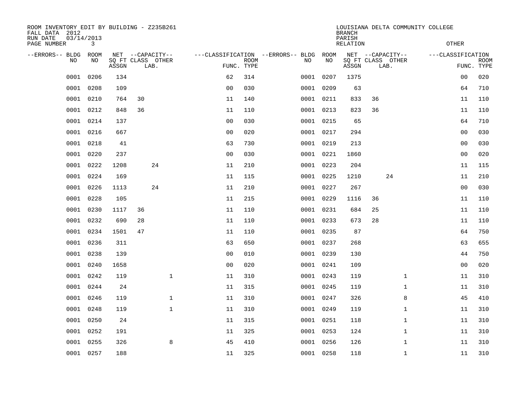| ROOM INVENTORY EDIT BY BUILDING - Z235B261<br>FALL DATA 2012<br>RUN DATE<br>PAGE NUMBER | 03/14/2013<br>$\mathbf{3}$ |       |    |                                               |                |                           |                                              |           | <b>BRANCH</b><br>PARISH<br><b>RELATION</b> |                                               |              | LOUISIANA DELTA COMMUNITY COLLEGE<br><b>OTHER</b> |                           |
|-----------------------------------------------------------------------------------------|----------------------------|-------|----|-----------------------------------------------|----------------|---------------------------|----------------------------------------------|-----------|--------------------------------------------|-----------------------------------------------|--------------|---------------------------------------------------|---------------------------|
| --ERRORS-- BLDG<br>NO                                                                   | ROOM<br>NO                 | ASSGN |    | NET --CAPACITY--<br>SQ FT CLASS OTHER<br>LAB. |                | <b>ROOM</b><br>FUNC. TYPE | ---CLASSIFICATION --ERRORS-- BLDG ROOM<br>NO | NO        | ASSGN                                      | NET --CAPACITY--<br>SQ FT CLASS OTHER<br>LAB. |              | ---CLASSIFICATION                                 | <b>ROOM</b><br>FUNC. TYPE |
| 0001                                                                                    | 0206                       | 134   |    |                                               | 62             | 314                       |                                              | 0001 0207 | 1375                                       |                                               |              | 00                                                | 020                       |
| 0001                                                                                    | 0208                       | 109   |    |                                               | 0 <sub>0</sub> | 030                       |                                              | 0001 0209 | 63                                         |                                               |              | 64                                                | 710                       |
| 0001                                                                                    | 0210                       | 764   | 30 |                                               | 11             | 140                       |                                              | 0001 0211 | 833                                        | 36                                            |              | 11                                                | 110                       |
| 0001                                                                                    | 0212                       | 848   | 36 |                                               | 11             | 110                       |                                              | 0001 0213 | 823                                        | 36                                            |              | 11                                                | 110                       |
| 0001                                                                                    | 0214                       | 137   |    |                                               | 0 <sub>0</sub> | 030                       |                                              | 0001 0215 | 65                                         |                                               |              | 64                                                | 710                       |
| 0001                                                                                    | 0216                       | 667   |    |                                               | 0 <sub>0</sub> | 020                       |                                              | 0001 0217 | 294                                        |                                               |              | 0 <sub>0</sub>                                    | 030                       |
| 0001                                                                                    | 0218                       | 41    |    |                                               | 63             | 730                       |                                              | 0001 0219 | 213                                        |                                               |              | 00                                                | 030                       |
| 0001                                                                                    | 0220                       | 237   |    |                                               | 0 <sub>0</sub> | 030                       |                                              | 0001 0221 | 1860                                       |                                               |              | 0 <sub>0</sub>                                    | 020                       |
| 0001                                                                                    | 0222                       | 1208  |    | 24                                            | 11             | 210                       |                                              | 0001 0223 | 204                                        |                                               |              | 11                                                | 115                       |
| 0001                                                                                    | 0224                       | 169   |    |                                               | 11             | 115                       |                                              | 0001 0225 | 1210                                       | 24                                            |              | 11                                                | 210                       |
| 0001                                                                                    | 0226                       | 1113  |    | 24                                            | 11             | 210                       |                                              | 0001 0227 | 267                                        |                                               |              | 0 <sub>0</sub>                                    | 030                       |
| 0001                                                                                    | 0228                       | 105   |    |                                               | 11             | 215                       |                                              | 0001 0229 | 1116                                       | 36                                            |              | 11                                                | 110                       |
| 0001                                                                                    | 0230                       | 1117  | 36 |                                               | 11             | 110                       |                                              | 0001 0231 | 684                                        | 25                                            |              | 11                                                | 110                       |
| 0001                                                                                    | 0232                       | 690   | 28 |                                               | 11             | 110                       |                                              | 0001 0233 | 673                                        | 28                                            |              | 11                                                | 110                       |
| 0001                                                                                    | 0234                       | 1501  | 47 |                                               | 11             | 110                       |                                              | 0001 0235 | 87                                         |                                               |              | 64                                                | 750                       |
| 0001                                                                                    | 0236                       | 311   |    |                                               | 63             | 650                       |                                              | 0001 0237 | 268                                        |                                               |              | 63                                                | 655                       |
| 0001                                                                                    | 0238                       | 139   |    |                                               | 0 <sub>0</sub> | 010                       |                                              | 0001 0239 | 130                                        |                                               |              | 44                                                | 750                       |
| 0001                                                                                    | 0240                       | 1658  |    |                                               | 0 <sub>0</sub> | 020                       |                                              | 0001 0241 | 109                                        |                                               |              | 0 <sub>0</sub>                                    | 020                       |
| 0001                                                                                    | 0242                       | 119   |    | $\mathbf{1}$                                  | 11             | 310                       |                                              | 0001 0243 | 119                                        |                                               | $\mathbf{1}$ | 11                                                | 310                       |
| 0001                                                                                    | 0244                       | 24    |    |                                               | 11             | 315                       |                                              | 0001 0245 | 119                                        |                                               | $\mathbf{1}$ | 11                                                | 310                       |
| 0001                                                                                    | 0246                       | 119   |    | $\mathbf 1$                                   | 11             | 310                       |                                              | 0001 0247 | 326                                        |                                               | 8            | 45                                                | 410                       |
| 0001                                                                                    | 0248                       | 119   |    | $\mathbf{1}$                                  | 11             | 310                       |                                              | 0001 0249 | 119                                        |                                               | $\mathbf{1}$ | 11                                                | 310                       |
| 0001                                                                                    | 0250                       | 24    |    |                                               | 11             | 315                       |                                              | 0001 0251 | 118                                        |                                               | $\mathbf{1}$ | 11                                                | 310                       |
| 0001                                                                                    | 0252                       | 191   |    |                                               | 11             | 325                       |                                              | 0001 0253 | 124                                        |                                               | $\mathbf{1}$ | 11                                                | 310                       |
| 0001                                                                                    | 0255                       | 326   |    | 8                                             | 45             | 410                       |                                              | 0001 0256 | 126                                        |                                               | $\mathbf{1}$ | 11                                                | 310                       |
|                                                                                         | 0001 0257                  | 188   |    |                                               | 11             | 325                       |                                              | 0001 0258 | 118                                        |                                               | $\mathbf{1}$ | 11                                                | 310                       |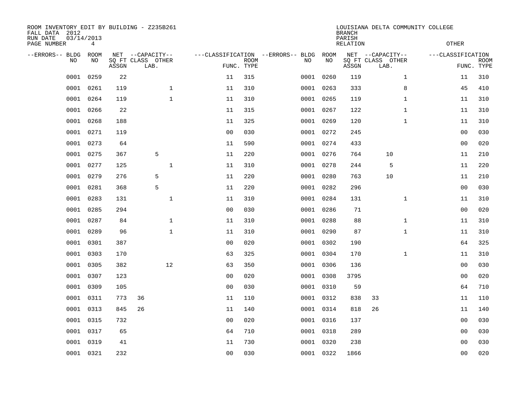| FALL DATA 2012<br>RUN DATE<br>PAGE NUMBER |      | 03/14/2013<br>4 |       | ROOM INVENTORY EDIT BY BUILDING - Z235B261    |                                   |                           |      |            | <b>BRANCH</b><br>PARISH<br><b>RELATION</b> |                                               |              | LOUISIANA DELTA COMMUNITY COLLEGE<br>OTHER |                           |
|-------------------------------------------|------|-----------------|-------|-----------------------------------------------|-----------------------------------|---------------------------|------|------------|--------------------------------------------|-----------------------------------------------|--------------|--------------------------------------------|---------------------------|
| --ERRORS-- BLDG                           | NO   | ROOM<br>NO      | ASSGN | NET --CAPACITY--<br>SQ FT CLASS OTHER<br>LAB. | ---CLASSIFICATION --ERRORS-- BLDG | <b>ROOM</b><br>FUNC. TYPE | NO   | ROOM<br>NO | ASSGN                                      | NET --CAPACITY--<br>SQ FT CLASS OTHER<br>LAB. |              | ---CLASSIFICATION                          | <b>ROOM</b><br>FUNC. TYPE |
|                                           | 0001 | 0259            | 22    |                                               | 11                                | 315                       | 0001 | 0260       | 119                                        |                                               | $\mathbf{1}$ | 11                                         | 310                       |
|                                           | 0001 | 0261            | 119   | $\mathbf{1}$                                  | 11                                | 310                       |      | 0001 0263  | 333                                        |                                               | 8            | 45                                         | 410                       |
|                                           | 0001 | 0264            | 119   | $\mathbf{1}$                                  | 11                                | 310                       |      | 0001 0265  | 119                                        |                                               | $\mathbf{1}$ | 11                                         | 310                       |
|                                           | 0001 | 0266            | 22    |                                               | 11                                | 315                       |      | 0001 0267  | 122                                        |                                               | $\mathbf{1}$ | 11                                         | 310                       |
|                                           | 0001 | 0268            | 188   |                                               | 11                                | 325                       |      | 0001 0269  | 120                                        |                                               | $\mathbf{1}$ | 11                                         | 310                       |
|                                           | 0001 | 0271            | 119   |                                               | 0 <sub>0</sub>                    | 030                       |      | 0001 0272  | 245                                        |                                               |              | 0 <sub>0</sub>                             | 030                       |
|                                           | 0001 | 0273            | 64    |                                               | 11                                | 590                       |      | 0001 0274  | 433                                        |                                               |              | 0 <sub>0</sub>                             | 020                       |
|                                           |      | 0001 0275       | 367   | 5                                             | 11                                | 220                       |      | 0001 0276  | 764                                        | 10                                            |              | 11                                         | 210                       |
|                                           | 0001 | 0277            | 125   | $\mathbf 1$                                   | 11                                | 310                       |      | 0001 0278  | 244                                        | 5                                             |              | 11                                         | 220                       |
|                                           | 0001 | 0279            | 276   | 5                                             | 11                                | 220                       |      | 0001 0280  | 763                                        | 10                                            |              | 11                                         | 210                       |
|                                           | 0001 | 0281            | 368   | 5                                             | 11                                | 220                       |      | 0001 0282  | 296                                        |                                               |              | 0 <sub>0</sub>                             | 030                       |
|                                           | 0001 | 0283            | 131   | $\mathbf{1}$                                  | 11                                | 310                       |      | 0001 0284  | 131                                        |                                               | $\mathbf{1}$ | 11                                         | 310                       |
|                                           | 0001 | 0285            | 294   |                                               | 0 <sub>0</sub>                    | 030                       | 0001 | 0286       | 71                                         |                                               |              | 0 <sub>0</sub>                             | 020                       |
|                                           | 0001 | 0287            | 84    | $\mathbf{1}$                                  | 11                                | 310                       |      | 0001 0288  | 88                                         |                                               | $\mathbf{1}$ | 11                                         | 310                       |
|                                           | 0001 | 0289            | 96    | $\mathbf{1}$                                  | 11                                | 310                       | 0001 | 0290       | 87                                         |                                               | $\mathbf{1}$ | 11                                         | 310                       |
|                                           | 0001 | 0301            | 387   |                                               | 0 <sub>0</sub>                    | 020                       |      | 0001 0302  | 190                                        |                                               |              | 64                                         | 325                       |
|                                           | 0001 | 0303            | 170   |                                               | 63                                | 325                       | 0001 | 0304       | 170                                        |                                               | $\mathbf{1}$ | 11                                         | 310                       |
|                                           | 0001 | 0305            | 382   | 12                                            | 63                                | 350                       |      | 0001 0306  | 136                                        |                                               |              | 0 <sub>0</sub>                             | 030                       |
|                                           | 0001 | 0307            | 123   |                                               | 0 <sub>0</sub>                    | 020                       |      | 0001 0308  | 3795                                       |                                               |              | 0 <sub>0</sub>                             | 020                       |
|                                           | 0001 | 0309            | 105   |                                               | 0 <sub>0</sub>                    | 030                       |      | 0001 0310  | 59                                         |                                               |              | 64                                         | 710                       |
|                                           | 0001 | 0311            | 773   | 36                                            | 11                                | 110                       |      | 0001 0312  | 838                                        | 33                                            |              | 11                                         | 110                       |
|                                           | 0001 | 0313            | 845   | 26                                            | 11                                | 140                       |      | 0001 0314  | 818                                        | 26                                            |              | 11                                         | 140                       |
|                                           | 0001 | 0315            | 732   |                                               | 0 <sub>0</sub>                    | 020                       |      | 0001 0316  | 137                                        |                                               |              | 00                                         | 030                       |
|                                           | 0001 | 0317            | 65    |                                               | 64                                | 710                       |      | 0001 0318  | 289                                        |                                               |              | 00                                         | 030                       |
|                                           | 0001 | 0319            | 41    |                                               | 11                                | 730                       |      | 0001 0320  | 238                                        |                                               |              | 00                                         | 030                       |
|                                           |      | 0001 0321       | 232   |                                               | 0 <sub>0</sub>                    | 030                       |      | 0001 0322  | 1866                                       |                                               |              | 0 <sub>0</sub>                             | 020                       |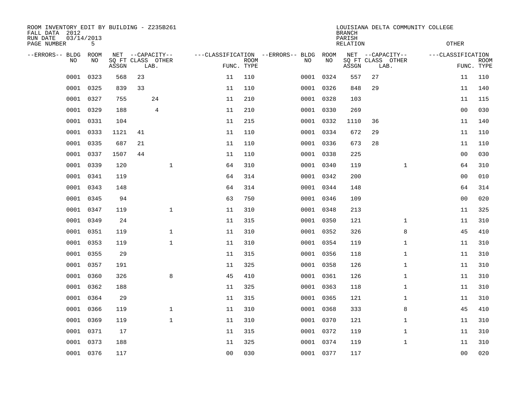| ROOM INVENTORY EDIT BY BUILDING - Z235B261<br>FALL DATA 2012<br>RUN DATE<br>PAGE NUMBER | 03/14/2013<br>5 |       |    |                           |                |                           |                                   |           | <b>BRANCH</b><br>PARISH<br><b>RELATION</b> | LOUISIANA DELTA COMMUNITY COLLEGE | <b>OTHER</b>      |                           |
|-----------------------------------------------------------------------------------------|-----------------|-------|----|---------------------------|----------------|---------------------------|-----------------------------------|-----------|--------------------------------------------|-----------------------------------|-------------------|---------------------------|
| --ERRORS-- BLDG                                                                         | ROOM            |       |    | NET --CAPACITY--          |                |                           | ---CLASSIFICATION --ERRORS-- BLDG | ROOM      |                                            | NET --CAPACITY--                  | ---CLASSIFICATION |                           |
| NO                                                                                      | NO              | ASSGN |    | SQ FT CLASS OTHER<br>LAB. |                | <b>ROOM</b><br>FUNC. TYPE | NO                                | NO        | ASSGN                                      | SQ FT CLASS OTHER<br>LAB.         |                   | <b>ROOM</b><br>FUNC. TYPE |
| 0001                                                                                    | 0323            | 568   | 23 |                           | 11             | 110                       |                                   | 0001 0324 | 557                                        | 27                                | 11                | 110                       |
| 0001                                                                                    | 0325            | 839   | 33 |                           | 11             | 110                       |                                   | 0001 0326 | 848                                        | 29                                | 11                | 140                       |
| 0001                                                                                    | 0327            | 755   |    | 24                        | 11             | 210                       |                                   | 0001 0328 | 103                                        |                                   | 11                | 115                       |
| 0001                                                                                    | 0329            | 188   |    | $\overline{4}$            | 11             | 210                       |                                   | 0001 0330 | 269                                        |                                   | 0 <sub>0</sub>    | 030                       |
| 0001                                                                                    | 0331            | 104   |    |                           | 11             | 215                       |                                   | 0001 0332 | 1110                                       | 36                                | 11                | 140                       |
| 0001                                                                                    | 0333            | 1121  | 41 |                           | 11             | 110                       |                                   | 0001 0334 | 672                                        | 29                                | 11                | 110                       |
| 0001                                                                                    | 0335            | 687   | 21 |                           | 11             | 110                       |                                   | 0001 0336 | 673                                        | 28                                | 11                | 110                       |
| 0001                                                                                    | 0337            | 1507  | 44 |                           | 11             | 110                       |                                   | 0001 0338 | 225                                        |                                   | 00                | 030                       |
| 0001                                                                                    | 0339            | 120   |    | $\mathbf{1}$              | 64             | 310                       |                                   | 0001 0340 | 119                                        | $\mathbf{1}$                      | 64                | 310                       |
| 0001                                                                                    | 0341            | 119   |    |                           | 64             | 314                       |                                   | 0001 0342 | 200                                        |                                   | 0 <sub>0</sub>    | 010                       |
| 0001                                                                                    | 0343            | 148   |    |                           | 64             | 314                       |                                   | 0001 0344 | 148                                        |                                   | 64                | 314                       |
| 0001                                                                                    | 0345            | 94    |    |                           | 63             | 750                       |                                   | 0001 0346 | 109                                        |                                   | 0 <sub>0</sub>    | 020                       |
| 0001                                                                                    | 0347            | 119   |    | $\mathbf{1}$              | 11             | 310                       |                                   | 0001 0348 | 213                                        |                                   | 11                | 325                       |
| 0001                                                                                    | 0349            | 24    |    |                           | 11             | 315                       |                                   | 0001 0350 | 121                                        | $\mathbf{1}$                      | 11                | 310                       |
| 0001                                                                                    | 0351            | 119   |    | $\mathbf{1}$              | 11             | 310                       |                                   | 0001 0352 | 326                                        | 8                                 | 45                | 410                       |
| 0001                                                                                    | 0353            | 119   |    | $\mathbf 1$               | 11             | 310                       |                                   | 0001 0354 | 119                                        | $\mathbf{1}$                      | 11                | 310                       |
| 0001                                                                                    | 0355            | 29    |    |                           | 11             | 315                       |                                   | 0001 0356 | 118                                        | $\mathbf{1}$                      | 11                | 310                       |
| 0001                                                                                    | 0357            | 191   |    |                           | 11             | 325                       |                                   | 0001 0358 | 126                                        | $\mathbf{1}$                      | 11                | 310                       |
| 0001                                                                                    | 0360            | 326   |    | 8                         | 45             | 410                       |                                   | 0001 0361 | 126                                        | $\mathbf{1}$                      | 11                | 310                       |
| 0001                                                                                    | 0362            | 188   |    |                           | 11             | 325                       |                                   | 0001 0363 | 118                                        | $\mathbf{1}$                      | 11                | 310                       |
| 0001                                                                                    | 0364            | 29    |    |                           | 11             | 315                       |                                   | 0001 0365 | 121                                        | $\mathbf{1}$                      | 11                | 310                       |
| 0001                                                                                    | 0366            | 119   |    | $\mathbf 1$               | 11             | 310                       |                                   | 0001 0368 | 333                                        | 8                                 | 45                | 410                       |
| 0001                                                                                    | 0369            | 119   |    | $\mathbf 1$               | 11             | 310                       |                                   | 0001 0370 | 121                                        | $\mathbf{1}$                      | 11                | 310                       |
| 0001                                                                                    | 0371            | 17    |    |                           | 11             | 315                       |                                   | 0001 0372 | 119                                        | $\mathbf{1}$                      | 11                | 310                       |
| 0001                                                                                    | 0373            | 188   |    |                           | 11             | 325                       |                                   | 0001 0374 | 119                                        | $\mathbf{1}$                      | 11                | 310                       |
|                                                                                         | 0001 0376       | 117   |    |                           | 0 <sub>0</sub> | 030                       |                                   | 0001 0377 | 117                                        |                                   | 0 <sub>0</sub>    | 020                       |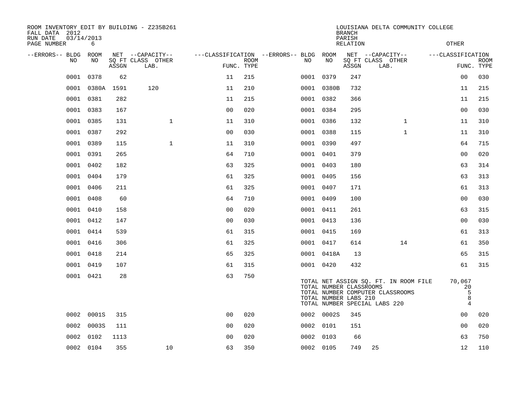| ROOM INVENTORY EDIT BY BUILDING - Z235B261<br>FALL DATA 2012 |                 |       |                                       |                |      |                                              |            | <b>BRANCH</b>                                    | LOUISIANA DELTA COMMUNITY COLLEGE                                                                          |                                          |             |
|--------------------------------------------------------------|-----------------|-------|---------------------------------------|----------------|------|----------------------------------------------|------------|--------------------------------------------------|------------------------------------------------------------------------------------------------------------|------------------------------------------|-------------|
| RUN DATE<br>PAGE NUMBER                                      | 03/14/2013<br>6 |       |                                       |                |      |                                              |            | PARISH<br><b>RELATION</b>                        |                                                                                                            | <b>OTHER</b>                             |             |
| --ERRORS-- BLDG<br>NO                                        | ROOM<br>NO      |       | NET --CAPACITY--<br>SQ FT CLASS OTHER |                | ROOM | ---CLASSIFICATION --ERRORS-- BLDG ROOM<br>NO | NO         |                                                  | NET --CAPACITY--<br>SQ FT CLASS OTHER                                                                      | ---CLASSIFICATION                        | <b>ROOM</b> |
|                                                              |                 | ASSGN | LAB.                                  | FUNC. TYPE     |      |                                              |            | ASSGN                                            | LAB.                                                                                                       |                                          | FUNC. TYPE  |
| 0001                                                         | 0378            | 62    |                                       | 11             | 215  |                                              | 0001 0379  | 247                                              |                                                                                                            | 0 <sub>0</sub>                           | 030         |
| 0001                                                         | 0380A 1591      |       | 120                                   | 11             | 210  |                                              | 0001 0380B | 732                                              |                                                                                                            | 11                                       | 215         |
|                                                              | 0001 0381       | 282   |                                       | 11             | 215  |                                              | 0001 0382  | 366                                              |                                                                                                            | 11                                       | 215         |
| 0001                                                         | 0383            | 167   |                                       | 0 <sub>0</sub> | 020  |                                              | 0001 0384  | 295                                              |                                                                                                            | 0 <sub>0</sub>                           | 030         |
|                                                              | 0001 0385       | 131   | $\mathbf{1}$                          | 11             | 310  |                                              | 0001 0386  | 132                                              | $\mathbf{1}$                                                                                               | 11                                       | 310         |
| 0001                                                         | 0387            | 292   |                                       | 0 <sub>0</sub> | 030  |                                              | 0001 0388  | 115                                              | $\mathbf{1}$                                                                                               | 11                                       | 310         |
|                                                              | 0001 0389       | 115   | $\mathbf{1}$                          | 11             | 310  |                                              | 0001 0390  | 497                                              |                                                                                                            | 64                                       | 715         |
| 0001                                                         | 0391            | 265   |                                       | 64             | 710  |                                              | 0001 0401  | 379                                              |                                                                                                            | 0 <sub>0</sub>                           | 020         |
| 0001                                                         | 0402            | 182   |                                       | 63             | 325  |                                              | 0001 0403  | 180                                              |                                                                                                            | 63                                       | 314         |
|                                                              | 0001 0404       | 179   |                                       | 61             | 325  |                                              | 0001 0405  | 156                                              |                                                                                                            | 63                                       | 313         |
|                                                              | 0001 0406       | 211   |                                       | 61             | 325  |                                              | 0001 0407  | 171                                              |                                                                                                            | 61                                       | 313         |
| 0001                                                         | 0408            | 60    |                                       | 64             | 710  |                                              | 0001 0409  | 100                                              |                                                                                                            | 0 <sub>0</sub>                           | 030         |
| 0001                                                         | 0410            | 158   |                                       | 0 <sub>0</sub> | 020  |                                              | 0001 0411  | 261                                              |                                                                                                            | 63                                       | 315         |
| 0001                                                         | 0412            | 147   |                                       | 0 <sub>0</sub> | 030  |                                              | 0001 0413  | 136                                              |                                                                                                            | 0 <sub>0</sub>                           | 030         |
|                                                              | 0001 0414       | 539   |                                       | 61             | 315  |                                              | 0001 0415  | 169                                              |                                                                                                            | 61                                       | 313         |
| 0001                                                         | 0416            | 306   |                                       | 61             | 325  |                                              | 0001 0417  | 614                                              | 14                                                                                                         | 61                                       | 350         |
| 0001                                                         | 0418            | 214   |                                       | 65             | 325  |                                              | 0001 0418A | 13                                               |                                                                                                            | 65                                       | 315         |
|                                                              | 0001 0419       | 107   |                                       | 61             | 315  |                                              | 0001 0420  | 432                                              |                                                                                                            | 61                                       | 315         |
|                                                              | 0001 0421       | 28    |                                       | 63             | 750  |                                              |            | TOTAL NUMBER CLASSROOMS<br>TOTAL NUMBER LABS 210 | TOTAL NET ASSIGN SQ. FT. IN ROOM FILE<br>TOTAL NUMBER COMPUTER CLASSROOMS<br>TOTAL NUMBER SPECIAL LABS 220 | 70,067<br>20<br>5<br>8<br>$\overline{4}$ |             |
| 0002                                                         | 0001S           | 315   |                                       | 0 <sub>0</sub> | 020  |                                              | 0002 0002S | 345                                              |                                                                                                            | 00                                       | 020         |
| 0002                                                         | 0003S           | 111   |                                       | 0 <sub>0</sub> | 020  |                                              | 0002 0101  | 151                                              |                                                                                                            | 0 <sub>0</sub>                           | 020         |
| 0002                                                         | 0102            | 1113  |                                       | 0 <sub>0</sub> | 020  |                                              | 0002 0103  | 66                                               |                                                                                                            | 63                                       | 750         |
|                                                              | 0002 0104       | 355   | 10                                    | 63             | 350  |                                              | 0002 0105  | 749                                              | 25                                                                                                         | 12                                       | 110         |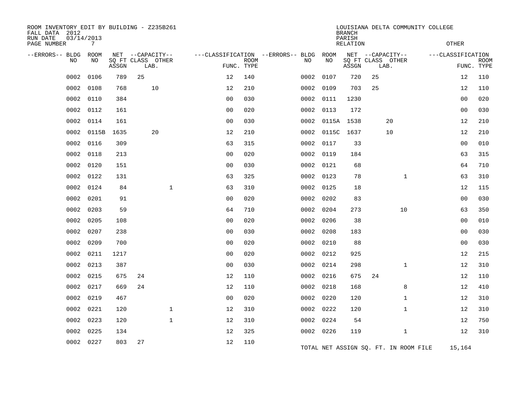| ROOM INVENTORY EDIT BY BUILDING - Z235B261<br>FALL DATA 2012<br>RUN DATE | 03/14/2013 |       |    |                                       |                |             |                                         |           |            | <b>BRANCH</b><br>PARISH |      |                                       | LOUISIANA DELTA COMMUNITY COLLEGE |                   |             |
|--------------------------------------------------------------------------|------------|-------|----|---------------------------------------|----------------|-------------|-----------------------------------------|-----------|------------|-------------------------|------|---------------------------------------|-----------------------------------|-------------------|-------------|
| PAGE NUMBER                                                              | 7          |       |    |                                       |                |             |                                         |           |            | RELATION                |      |                                       |                                   | OTHER             |             |
| --ERRORS-- BLDG ROOM<br>NO                                               | NO         |       |    | NET --CAPACITY--<br>SQ FT CLASS OTHER |                | <b>ROOM</b> | ---CLASSIFICATION --ERRORS-- BLDG<br>NO |           | ROOM<br>NO |                         |      | NET --CAPACITY--<br>SQ FT CLASS OTHER |                                   | ---CLASSIFICATION | <b>ROOM</b> |
|                                                                          |            | ASSGN |    | LAB.                                  |                | FUNC. TYPE  |                                         |           |            | ASSGN                   | LAB. |                                       |                                   | FUNC. TYPE        |             |
| 0002                                                                     | 0106       | 789   | 25 |                                       | 12             | 140         | 0002                                    |           | 0107       | 720                     | 25   |                                       |                                   | 12                | 110         |
| 0002                                                                     | 0108       | 768   |    | 10                                    | 12             | 210         | 0002                                    |           | 0109       | 703                     | 25   |                                       |                                   | 12                | 110         |
| 0002                                                                     | 0110       | 384   |    |                                       | 0 <sub>0</sub> | 030         |                                         | 0002 0111 |            | 1230                    |      |                                       |                                   | 0 <sub>0</sub>    | 020         |
| 0002                                                                     | 0112       | 161   |    |                                       | 0 <sub>0</sub> | 020         | 0002                                    |           | 0113       | 172                     |      |                                       |                                   | 0 <sub>0</sub>    | 030         |
| 0002                                                                     | 0114       | 161   |    |                                       | 0 <sub>0</sub> | 030         |                                         |           |            | 0002 0115A 1538         |      | 20                                    |                                   | 12                | 210         |
| 0002                                                                     | 0115B      | 1635  |    | 20                                    | 12             | 210         | 0002                                    |           | 0115C      | 1637                    |      | 10                                    |                                   | 12                | 210         |
| 0002                                                                     | 0116       | 309   |    |                                       | 63             | 315         |                                         | 0002 0117 |            | 33                      |      |                                       |                                   | 0 <sub>0</sub>    | 010         |
| 0002                                                                     | 0118       | 213   |    |                                       | 00             | 020         | 0002                                    |           | 0119       | 184                     |      |                                       |                                   | 63                | 315         |
| 0002                                                                     | 0120       | 151   |    |                                       | 0 <sub>0</sub> | 030         |                                         | 0002 0121 |            | 68                      |      |                                       |                                   | 64                | 710         |
| 0002                                                                     | 0122       | 131   |    |                                       | 63             | 325         | 0002                                    |           | 0123       | 78                      |      | $\mathbf{1}$                          |                                   | 63                | 310         |
| 0002                                                                     | 0124       | 84    |    | $\mathbf{1}$                          | 63             | 310         |                                         | 0002 0125 |            | 18                      |      |                                       |                                   | 12                | 115         |
| 0002                                                                     | 0201       | 91    |    |                                       | 0 <sub>0</sub> | 020         |                                         | 0002 0202 |            | 83                      |      |                                       |                                   | 0 <sub>0</sub>    | 030         |
| 0002                                                                     | 0203       | 59    |    |                                       | 64             | 710         |                                         | 0002 0204 |            | 273                     |      | 10                                    |                                   | 63                | 350         |
| 0002                                                                     | 0205       | 108   |    |                                       | 0 <sub>0</sub> | 020         |                                         | 0002 0206 |            | 38                      |      |                                       |                                   | 00                | 010         |
| 0002                                                                     | 0207       | 238   |    |                                       | 0 <sub>0</sub> | 030         |                                         | 0002 0208 |            | 183                     |      |                                       |                                   | 0 <sub>0</sub>    | 030         |
| 0002                                                                     | 0209       | 700   |    |                                       | 0 <sub>0</sub> | 020         |                                         | 0002 0210 |            | 88                      |      |                                       |                                   | 0 <sub>0</sub>    | 030         |
| 0002                                                                     | 0211       | 1217  |    |                                       | 0 <sub>0</sub> | 020         | 0002                                    |           | 0212       | 925                     |      |                                       |                                   | 12                | 215         |
| 0002                                                                     | 0213       | 387   |    |                                       | 0 <sub>0</sub> | 030         |                                         | 0002 0214 |            | 298                     |      | $\mathbf{1}$                          |                                   | 12                | 310         |
| 0002                                                                     | 0215       | 675   | 24 |                                       | 12             | 110         | 0002                                    |           | 0216       | 675                     | 24   |                                       |                                   | 12                | 110         |
| 0002                                                                     | 0217       | 669   | 24 |                                       | 12             | 110         | 0002                                    |           | 0218       | 168                     |      | 8                                     |                                   | 12                | 410         |
| 0002                                                                     | 0219       | 467   |    |                                       | 0 <sup>0</sup> | 020         | 0002                                    |           | 0220       | 120                     |      | $\mathbf{1}$                          |                                   | 12                | 310         |
| 0002                                                                     | 0221       | 120   |    | $\mathbf 1$                           | 12             | 310         |                                         | 0002 0222 |            | 120                     |      | $\mathbf{1}$                          |                                   | 12                | 310         |
| 0002                                                                     | 0223       | 120   |    | $\mathbf{1}$                          | 12             | 310         | 0002                                    |           | 0224       | 54                      |      |                                       |                                   | 12                | 750         |
| 0002                                                                     | 0225       | 134   |    |                                       | 12             | 325         |                                         | 0002 0226 |            | 119                     |      | $\mathbf{1}$                          |                                   | 12                | 310         |
| 0002                                                                     | 0227       | 803   | 27 |                                       | 12             | 110         |                                         |           |            |                         |      | TOTAL NET ASSIGN SQ. FT. IN ROOM FILE |                                   | 15,164            |             |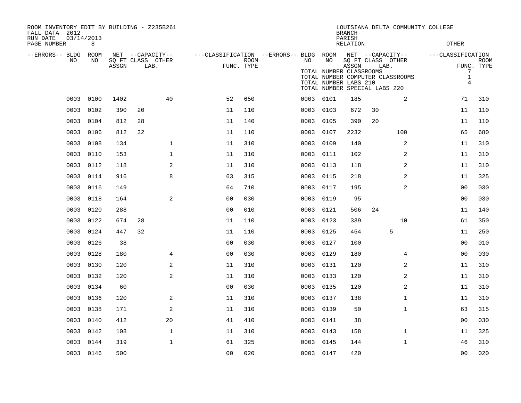| ROOM INVENTORY EDIT BY BUILDING - Z235B261<br>FALL DATA 2012<br>RUN DATE<br>PAGE NUMBER | 03/14/2013<br>8 |       |                                               |                |                |             |                                        |           |                                                        | <b>BRANCH</b><br>PARISH<br><b>RELATION</b> |                                                                                                                    |              | LOUISIANA DELTA COMMUNITY COLLEGE<br><b>OTHER</b> |                              |                           |
|-----------------------------------------------------------------------------------------|-----------------|-------|-----------------------------------------------|----------------|----------------|-------------|----------------------------------------|-----------|--------------------------------------------------------|--------------------------------------------|--------------------------------------------------------------------------------------------------------------------|--------------|---------------------------------------------------|------------------------------|---------------------------|
| --ERRORS-- BLDG ROOM<br>NO                                                              | NO              | ASSGN | NET --CAPACITY--<br>SQ FT CLASS OTHER<br>LAB. |                | FUNC. TYPE     | <b>ROOM</b> | ---CLASSIFICATION --ERRORS-- BLDG ROOM | NO.       | NO<br>TOTAL NUMBER CLASSROOMS<br>TOTAL NUMBER LABS 210 | ASSGN                                      | NET --CAPACITY--<br>SQ FT CLASS OTHER<br>LAB.<br>TOTAL NUMBER COMPUTER CLASSROOMS<br>TOTAL NUMBER SPECIAL LABS 220 |              | ---CLASSIFICATION                                 | 7<br>$1\,$<br>$\overline{4}$ | <b>ROOM</b><br>FUNC. TYPE |
| 0003                                                                                    | 0100            | 1402  | 40                                            |                | 52             | 650         |                                        | 0003 0101 |                                                        | 185                                        |                                                                                                                    | 2            |                                                   | 71                           | 310                       |
| 0003                                                                                    | 0102            | 390   | 20                                            |                | 11             | 110         |                                        | 0003 0103 |                                                        | 672                                        | 30                                                                                                                 |              |                                                   | 11                           | 110                       |
| 0003                                                                                    | 0104            | 812   | 28                                            |                | 11             | 140         |                                        | 0003      | 0105                                                   | 390                                        | 20                                                                                                                 |              |                                                   | 11                           | 110                       |
| 0003                                                                                    | 0106            | 812   | 32                                            |                | 11             | 110         |                                        | 0003 0107 |                                                        | 2232                                       |                                                                                                                    | 100          |                                                   | 65                           | 680                       |
| 0003                                                                                    | 0108            | 134   |                                               | $\mathbf{1}$   | 11             | 310         |                                        | 0003      | 0109                                                   | 140                                        |                                                                                                                    | 2            |                                                   | 11                           | 310                       |
| 0003                                                                                    | 0110            | 153   |                                               | $\mathbf{1}$   | 11             | 310         |                                        | 0003      | 0111                                                   | 102                                        |                                                                                                                    | 2            |                                                   | 11                           | 310                       |
| 0003                                                                                    | 0112            | 118   |                                               | 2              | 11             | 310         |                                        | 0003      | 0113                                                   | 118                                        |                                                                                                                    | 2            |                                                   | 11                           | 310                       |
| 0003                                                                                    | 0114            | 916   |                                               | 8              | 63             | 315         |                                        | 0003      | 0115                                                   | 218                                        |                                                                                                                    | 2            |                                                   | 11                           | 325                       |
| 0003                                                                                    | 0116            | 149   |                                               |                | 64             | 710         |                                        | 0003      | 0117                                                   | 195                                        |                                                                                                                    | 2            |                                                   | 0 <sub>0</sub>               | 030                       |
| 0003                                                                                    | 0118            | 164   |                                               | 2              | 0 <sub>0</sub> | 030         |                                        | 0003      | 0119                                                   | 95                                         |                                                                                                                    |              |                                                   | 00                           | 030                       |
| 0003                                                                                    | 0120            | 288   |                                               |                | 0 <sub>0</sub> | 010         |                                        | 0003      | 0121                                                   | 506                                        | 24                                                                                                                 |              |                                                   | 11                           | 140                       |
| 0003                                                                                    | 0122            | 674   | 28                                            |                | 11             | 110         |                                        | 0003      | 0123                                                   | 339                                        |                                                                                                                    | 10           |                                                   | 61                           | 350                       |
| 0003                                                                                    | 0124            | 447   | 32                                            |                | 11             | 110         |                                        | 0003 0125 |                                                        | 454                                        |                                                                                                                    | 5            |                                                   | 11                           | 250                       |
| 0003                                                                                    | 0126            | 38    |                                               |                | 0 <sub>0</sub> | 030         |                                        | 0003 0127 |                                                        | 100                                        |                                                                                                                    |              |                                                   | 0 <sub>0</sub>               | 010                       |
| 0003                                                                                    | 0128            | 180   |                                               | $\overline{4}$ | 0 <sub>0</sub> | 030         |                                        | 0003 0129 |                                                        | 180                                        |                                                                                                                    | 4            |                                                   | 0 <sub>0</sub>               | 030                       |
| 0003                                                                                    | 0130            | 120   |                                               | $\overline{a}$ | 11             | 310         |                                        | 0003      | 0131                                                   | 120                                        |                                                                                                                    | 2            |                                                   | 11                           | 310                       |
| 0003                                                                                    | 0132            | 120   |                                               | 2              | 11             | 310         |                                        | 0003 0133 |                                                        | 120                                        |                                                                                                                    | 2            |                                                   | 11                           | 310                       |
| 0003                                                                                    | 0134            | 60    |                                               |                | 0 <sub>0</sub> | 030         |                                        | 0003      | 0135                                                   | 120                                        |                                                                                                                    | 2            |                                                   | 11                           | 310                       |
| 0003                                                                                    | 0136            | 120   |                                               | 2              | 11             | 310         |                                        | 0003 0137 |                                                        | 138                                        |                                                                                                                    | $\mathbf{1}$ |                                                   | 11                           | 310                       |
| 0003                                                                                    | 0138            | 171   |                                               | $\sqrt{2}$     | 11             | 310         |                                        | 0003      | 0139                                                   | 50                                         |                                                                                                                    | $\mathbf{1}$ |                                                   | 63                           | 315                       |
| 0003                                                                                    | 0140            | 412   | 20                                            |                | 41             | 410         |                                        | 0003 0141 |                                                        | 38                                         |                                                                                                                    |              |                                                   | 00                           | 030                       |
| 0003                                                                                    | 0142            | 108   |                                               | $\mathbf{1}$   | 11             | 310         |                                        | 0003      | 0143                                                   | 158                                        |                                                                                                                    | $\mathbf{1}$ |                                                   | 11                           | 325                       |
| 0003                                                                                    | 0144            | 319   |                                               | $\mathbf{1}$   | 61             | 325         |                                        | 0003      | 0145                                                   | 144                                        |                                                                                                                    | $\mathbf{1}$ |                                                   | 46                           | 310                       |
|                                                                                         | 0003 0146       | 500   |                                               |                | 0 <sub>0</sub> | 020         |                                        | 0003 0147 |                                                        | 420                                        |                                                                                                                    |              |                                                   | 0 <sub>0</sub>               | 020                       |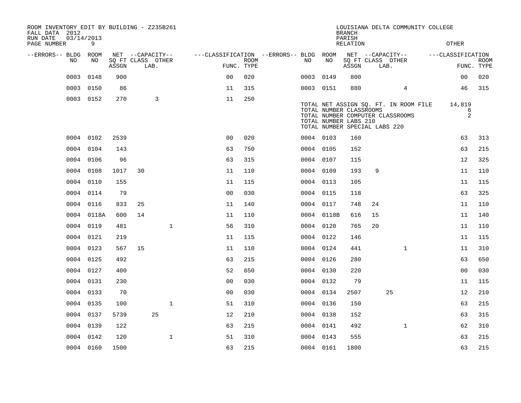| ROOM INVENTORY EDIT BY BUILDING - Z235B261<br>FALL DATA 2012<br>RUN DATE<br>PAGE NUMBER |      | 03/14/2013<br>9 |       |                   |      |              |                |             |                                        |           |            | <b>BRANCH</b><br>PARISH<br><b>RELATION</b>                                        |    | LOUISIANA DELTA COMMUNITY COLLEGE                                         | <b>OTHER</b>      |                           |
|-----------------------------------------------------------------------------------------|------|-----------------|-------|-------------------|------|--------------|----------------|-------------|----------------------------------------|-----------|------------|-----------------------------------------------------------------------------------|----|---------------------------------------------------------------------------|-------------------|---------------------------|
| --ERRORS-- BLDG ROOM                                                                    |      |                 |       | NET --CAPACITY--  |      |              |                |             | ---CLASSIFICATION --ERRORS-- BLDG ROOM |           |            |                                                                                   |    | NET --CAPACITY--                                                          | ---CLASSIFICATION |                           |
|                                                                                         | NO   | NO              | ASSGN | SQ FT CLASS OTHER | LAB. |              | FUNC. TYPE     | <b>ROOM</b> |                                        | NO.       | NO         | ASSGN                                                                             |    | SQ FT CLASS OTHER<br>LAB.                                                 |                   | <b>ROOM</b><br>FUNC. TYPE |
|                                                                                         | 0003 | 0148            | 900   |                   |      |              | 0 <sup>0</sup> | 020         |                                        | 0003      | 0149       | 800                                                                               |    |                                                                           | 0 <sub>0</sub>    | 020                       |
|                                                                                         | 0003 | 0150            | 86    |                   |      |              | 11             | 315         |                                        | 0003 0151 |            | 880                                                                               |    | 4                                                                         | 46                | 315                       |
|                                                                                         |      | 0003 0152       | 270   |                   | 3    |              | 11             | 250         |                                        |           |            |                                                                                   |    |                                                                           |                   |                           |
|                                                                                         |      |                 |       |                   |      |              |                |             |                                        |           |            | TOTAL NUMBER CLASSROOMS<br>TOTAL NUMBER LABS 210<br>TOTAL NUMBER SPECIAL LABS 220 |    | TOTAL NET ASSIGN SQ. FT. IN ROOM FILE<br>TOTAL NUMBER COMPUTER CLASSROOMS | 14,819            | 6<br>$\overline{2}$       |
|                                                                                         |      | 0004 0102       | 2539  |                   |      |              | 0 <sub>0</sub> | 020         |                                        | 0004 0103 |            | 160                                                                               |    |                                                                           | 63                | 313                       |
|                                                                                         | 0004 | 0104            | 143   |                   |      |              | 63             | 750         |                                        | 0004 0105 |            | 152                                                                               |    |                                                                           | 63                | 215                       |
|                                                                                         |      | 0004 0106       | 96    |                   |      |              | 63             | 315         |                                        | 0004 0107 |            | 115                                                                               |    |                                                                           | 12                | 325                       |
|                                                                                         | 0004 | 0108            | 1017  | 30                |      |              | 11             | 110         |                                        | 0004 0109 |            | 193                                                                               | 9  |                                                                           | 11                | 110                       |
|                                                                                         |      | 0004 0110       | 155   |                   |      |              | 11             | 115         |                                        | 0004 0113 |            | 105                                                                               |    |                                                                           | 11                | 115                       |
|                                                                                         |      | 0004 0114       | 79    |                   |      |              | 0 <sup>0</sup> | 030         |                                        | 0004 0115 |            | 118                                                                               |    |                                                                           | 63                | 325                       |
|                                                                                         |      | 0004 0116       | 833   | 25                |      |              | 11             | 140         |                                        | 0004 0117 |            | 748                                                                               | 24 |                                                                           | 11                | 110                       |
|                                                                                         |      | 0004 0118A      | 600   | 14                |      |              | 11             | 110         |                                        |           | 0004 0118B | 616                                                                               | 15 |                                                                           | 11                | 140                       |
|                                                                                         |      | 0004 0119       | 481   |                   |      | $\mathbf{1}$ | 56             | 310         |                                        | 0004 0120 |            | 765                                                                               | 20 |                                                                           | 11                | 110                       |
|                                                                                         | 0004 | 0121            | 219   |                   |      |              | 11             | 115         |                                        | 0004 0122 |            | 146                                                                               |    |                                                                           | 11                | 115                       |
|                                                                                         |      | 0004 0123       | 567   | 15                |      |              | 11             | 110         |                                        | 0004 0124 |            | 441                                                                               |    | $\mathbf{1}$                                                              | 11                | 310                       |
|                                                                                         | 0004 | 0125            | 492   |                   |      |              | 63             | 215         |                                        | 0004 0126 |            | 280                                                                               |    |                                                                           | 63                | 650                       |
|                                                                                         | 0004 | 0127            | 400   |                   |      |              | 52             | 650         |                                        | 0004 0130 |            | 220                                                                               |    |                                                                           | 0 <sub>0</sub>    | 030                       |
|                                                                                         |      | 0004 0131       | 230   |                   |      |              | 0 <sub>0</sub> | 030         |                                        | 0004 0132 |            | 79                                                                                |    |                                                                           | 11                | 115                       |
|                                                                                         |      | 0004 0133       | 70    |                   |      |              | 0 <sub>0</sub> | 030         |                                        | 0004 0134 |            | 2507                                                                              |    | 25                                                                        | 12                | 210                       |
|                                                                                         |      | 0004 0135       | 100   |                   |      | $\mathbf{1}$ | 51             | 310         |                                        | 0004 0136 |            | 150                                                                               |    |                                                                           | 63                | 215                       |
|                                                                                         |      | 0004 0137       | 5739  |                   | 25   |              | 12             | 210         |                                        | 0004 0138 |            | 152                                                                               |    |                                                                           | 63                | 315                       |
|                                                                                         |      | 0004 0139       | 122   |                   |      |              | 63             | 215         |                                        | 0004 0141 |            | 492                                                                               |    | $\mathbf{1}$                                                              | 62                | 310                       |
|                                                                                         |      | 0004 0142       | 120   |                   |      | $\mathbf{1}$ | 51             | 310         |                                        | 0004 0143 |            | 555                                                                               |    |                                                                           | 63                | 215                       |
|                                                                                         |      | 0004 0160       | 1500  |                   |      |              | 63             | 215         |                                        | 0004 0161 |            | 1800                                                                              |    |                                                                           | 63                | 215                       |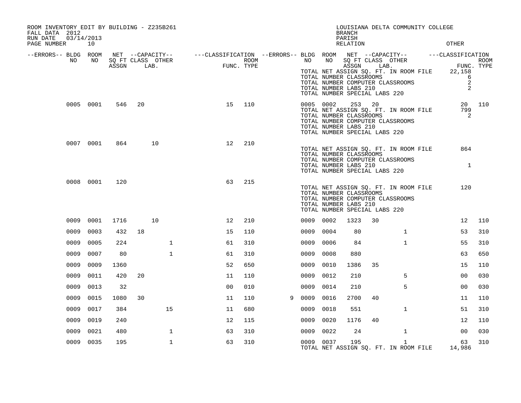| ROOM INVENTORY EDIT BY BUILDING - Z235B261<br>FALL DATA 2012<br>RUN DATE<br>03/14/2013<br>PAGE NUMBER 10 |           |       |    |                           |                                                                                                                                                                                                                                                     |                    |           |      | LOUISIANA DELTA COMMUNITY COLLEGE<br><b>BRANCH</b><br>PARISH<br><b>RELATION</b>                                                                                                    |    |              | <b>OTHER</b>                                                              |        |
|----------------------------------------------------------------------------------------------------------|-----------|-------|----|---------------------------|-----------------------------------------------------------------------------------------------------------------------------------------------------------------------------------------------------------------------------------------------------|--------------------|-----------|------|------------------------------------------------------------------------------------------------------------------------------------------------------------------------------------|----|--------------|---------------------------------------------------------------------------|--------|
| --ERRORS-- BLDG ROOM<br>NO                                                                               | NO        | ASSGN |    | SQ FT CLASS OTHER<br>LAB. | $\begin{array}{cccccccccccccc} \texttt{NET} & --\texttt{CAPACTTY} & - & --\texttt{CLASSIFICATION} & --\texttt{ERRORS} & - & \texttt{BLDG} & \texttt{ROOM} & \texttt{NET} & --\texttt{CAPACTTY} & - & --\texttt{CLASSIFICATION} \end{array}$<br>FUNC | ROOM<br>FUNC. TYPE |           |      | TOTAL NUMBER CLASSROOMS<br>TOTAL NUMBER COMPUTER CLASSROOMS<br>TOTAL NUMBER LABS 210<br>TOTAL NUMBER SPECIAL LABS 220                                                              |    |              | FUNC. TYPE<br>TOTAL NET ASSIGN SQ. FT. IN ROOM FILE 22,158<br>6<br>2<br>2 | ROOM   |
|                                                                                                          | 0005 0001 | 546   | 20 |                           | 15                                                                                                                                                                                                                                                  | 110                |           |      | 0005 0002 253 20<br>TOTAL NET ASSIGN SQ. FT. IN ROOM FILE<br>TOTAL NUMBER CLASSROOMS<br>TOTAL NUMBER COMPUTER CLASSROOMS<br>TOTAL NUMBER LABS 210<br>TOTAL NUMBER SPECIAL LABS 220 |    |              | 799<br>2                                                                  | 20 110 |
|                                                                                                          | 0007 0001 | 864   |    | 10                        | 12                                                                                                                                                                                                                                                  | 210                |           |      | TOTAL NET ASSIGN SQ. FT. IN ROOM FILE<br>TOTAL NUMBER CLASSROOMS<br>TOTAL NUMBER COMPUTER CLASSROOMS<br>TOTAL NUMBER LABS 210<br>TOTAL NUMBER SPECIAL LABS 220                     |    |              | 864<br>1                                                                  |        |
|                                                                                                          | 0008 0001 | 120   |    |                           | 63                                                                                                                                                                                                                                                  | 215                |           |      | TOTAL NET ASSIGN SQ. FT. IN ROOM FILE<br>TOTAL NUMBER CLASSROOMS<br>TOTAL NUMBER COMPUTER CLASSROOMS<br>TOTAL NUMBER LABS 210<br>TOTAL NUMBER SPECIAL LABS 220                     |    |              | 120                                                                       |        |
| 0009                                                                                                     | 0001      | 1716  |    | 10                        | 12                                                                                                                                                                                                                                                  | 210                | 0009 0002 |      | 1323                                                                                                                                                                               | 30 |              | 12                                                                        | 110    |
| 0009                                                                                                     | 0003      | 432   | 18 |                           | 15                                                                                                                                                                                                                                                  | 110                | 0009      | 0004 | 80                                                                                                                                                                                 |    | $\mathbf{1}$ | 53                                                                        | 310    |
| 0009                                                                                                     | 0005      | 224   |    | $\mathbf{1}$              | 61                                                                                                                                                                                                                                                  | 310                | 0009      | 0006 | 84                                                                                                                                                                                 |    | $\mathbf{1}$ | 55                                                                        | 310    |
| 0009                                                                                                     | 0007      | 80    |    | $\mathbf{1}$              | 61                                                                                                                                                                                                                                                  | 310                | 0009      | 0008 | 880                                                                                                                                                                                |    |              | 63                                                                        | 650    |
| 0009                                                                                                     | 0009      | 1360  |    |                           | 52                                                                                                                                                                                                                                                  | 650                | 0009      | 0010 | 1386                                                                                                                                                                               | 35 |              | 15                                                                        | 110    |
| 0009                                                                                                     | 0011      | 420   | 20 |                           | 11                                                                                                                                                                                                                                                  | 110                | 0009      | 0012 | 210                                                                                                                                                                                |    | 5            | 0 <sub>0</sub>                                                            | 030    |
| 0009                                                                                                     | 0013      | 32    |    |                           | 0 <sub>0</sub>                                                                                                                                                                                                                                      | 010                | 0009      | 0014 | 210                                                                                                                                                                                |    | 5            | 0 <sub>0</sub>                                                            | 030    |
| 0009                                                                                                     | 0015      | 1080  | 30 |                           | 11                                                                                                                                                                                                                                                  | 110                | 9 0009    | 0016 | 2700                                                                                                                                                                               | 40 |              | 11                                                                        | 110    |
| 0009                                                                                                     | 0017      | 384   |    | 15                        | 11                                                                                                                                                                                                                                                  | 680                | 0009      | 0018 | 551                                                                                                                                                                                |    | $\mathbf{1}$ | 51                                                                        | 310    |
| 0009                                                                                                     | 0019      | 240   |    |                           | 12                                                                                                                                                                                                                                                  | 115                | 0009      | 0020 | 1176                                                                                                                                                                               | 40 |              | 12                                                                        | 110    |
| 0009                                                                                                     | 0021      | 480   |    | $\mathbf 1$               | 63                                                                                                                                                                                                                                                  | 310                | 0009 0022 |      | 24                                                                                                                                                                                 |    | $\mathbf{1}$ | 00                                                                        | 030    |
|                                                                                                          | 0009 0035 | 195   |    | $\mathbf{1}$              | 63                                                                                                                                                                                                                                                  | 310                | 0009 0037 |      | 195<br>TOTAL NET ASSIGN SQ. FT. IN ROOM FILE                                                                                                                                       |    | $\mathbf{1}$ | 63<br>14,986                                                              | 310    |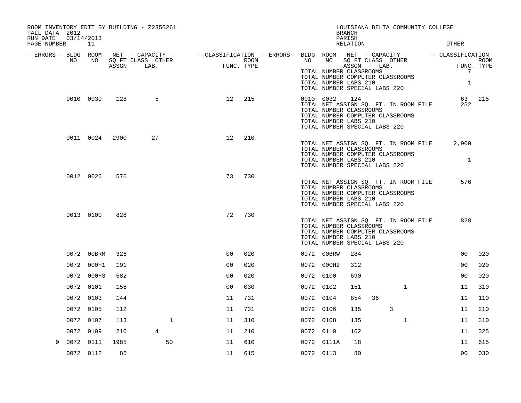| ROOM INVENTORY EDIT BY BUILDING - Z235B261<br>FALL DATA 2012 |                  |      |                                                                                                                                   |                                         |                    |           |                                                                                                                                                                             | <b>BRANCH</b>      |    | LOUISIANA DELTA COMMUNITY COLLEGE |                                 |                           |
|--------------------------------------------------------------|------------------|------|-----------------------------------------------------------------------------------------------------------------------------------|-----------------------------------------|--------------------|-----------|-----------------------------------------------------------------------------------------------------------------------------------------------------------------------------|--------------------|----|-----------------------------------|---------------------------------|---------------------------|
| RUN DATE<br>PAGE NUMBER                                      | 03/14/2013<br>11 |      |                                                                                                                                   |                                         |                    |           |                                                                                                                                                                             | PARISH<br>RELATION |    |                                   | <b>OTHER</b>                    |                           |
| --ERRORS-- BLDG ROOM<br>NO                                   | NO               |      | NET --CAPACITY-- - ---CLASSIFICATION --ERRORS-- BLDG ROOM NET --CAPACITY-- - ---CLASSIFICATION<br>SQ FT CLASS OTHER<br>ASSGN LAB. | $\begin{array}{c}\n\hline\n\end{array}$ | ROOM<br>FUNC. TYPE | NO        | NO<br>TOTAL NUMBER CLASSROOMS<br>TOTAL NUMBER COMPUTER CLASSROOMS<br>TOTAL NUMBER LABS 210<br>TOTAL NUMBER SPECIAL LABS 220                                                 | ASSGN LAB.         |    | SQ FT CLASS OTHER                 | $7\phantom{.0}$<br>$\mathbf{1}$ | <b>ROOM</b><br>FUNC. TYPE |
|                                                              | 0010 0030        | 128  | 5                                                                                                                                 | 12                                      | 215                |           | 0010 0032<br>TOTAL NET ASSIGN SQ. FT. IN ROOM FILE<br>TOTAL NUMBER CLASSROOMS<br>TOTAL NUMBER COMPUTER CLASSROOMS<br>TOTAL NUMBER LABS 210<br>TOTAL NUMBER SPECIAL LABS 220 | 124                |    |                                   | 252                             | 63 215                    |
|                                                              | 0011 0024        | 2900 | 27                                                                                                                                | 12                                      | 210                |           | TOTAL NET ASSIGN SQ. FT. IN ROOM FILE<br>TOTAL NUMBER CLASSROOMS<br>TOTAL NUMBER COMPUTER CLASSROOMS<br>TOTAL NUMBER LABS 210<br>TOTAL NUMBER SPECIAL LABS 220              |                    |    |                                   | 2,900<br>$\mathbf{1}$           |                           |
|                                                              | 0012 0026        | 576  |                                                                                                                                   | 73                                      | 730                |           | TOTAL NET ASSIGN SQ. FT. IN ROOM FILE<br>TOTAL NUMBER CLASSROOMS<br>TOTAL NUMBER COMPUTER CLASSROOMS<br>TOTAL NUMBER LABS 210<br>TOTAL NUMBER SPECIAL LABS 220              |                    |    |                                   | 576                             |                           |
|                                                              | 0013 0100        | 828  |                                                                                                                                   | 72                                      | 730                |           | TOTAL NET ASSIGN SQ. FT. IN ROOM FILE<br>TOTAL NUMBER CLASSROOMS<br>TOTAL NUMBER COMPUTER CLASSROOMS<br>TOTAL NUMBER LABS 210<br>TOTAL NUMBER SPECIAL LABS 220              |                    |    |                                   | 828                             |                           |
|                                                              | 0072 00BRM       | 326  |                                                                                                                                   | 0 <sup>0</sup>                          | 020                |           | 0072 00BRW                                                                                                                                                                  | 284                |    |                                   | 00                              | 020                       |
|                                                              | 0072 000H1       | 191  |                                                                                                                                   | 0 <sub>0</sub>                          | 020                |           | 0072 000H2                                                                                                                                                                  | 312                |    |                                   | 0 <sub>0</sub>                  | 020                       |
|                                                              | 0072 000H3       | 582  |                                                                                                                                   | 0 <sub>0</sub>                          | 020                | 0072 0100 |                                                                                                                                                                             | 690                |    |                                   | 0 <sub>0</sub>                  | 020                       |
|                                                              | 0072 0101        | 156  |                                                                                                                                   | 0 <sub>0</sub>                          | 030                | 0072 0102 |                                                                                                                                                                             | 151                |    | $\mathbf{1}$                      | 11                              | 310                       |
|                                                              | 0072 0103        | 144  |                                                                                                                                   | 11                                      | 731                |           | 0072 0104                                                                                                                                                                   | 854                | 36 |                                   | 11                              | 110                       |
|                                                              | 0072 0105        | 112  |                                                                                                                                   | 11                                      | 731                | 0072 0106 |                                                                                                                                                                             | 135                |    | 3                                 | 11                              | 210                       |
|                                                              | 0072 0107        | 113  | $\mathbf{1}$                                                                                                                      | 11                                      | 310                | 0072 0108 |                                                                                                                                                                             | 135                |    | $\mathbf{1}$                      | 11                              | 310                       |
|                                                              | 0072 0109        | 210  | $\overline{4}$                                                                                                                    | 11                                      | 210                | 0072 0110 |                                                                                                                                                                             | 162                |    |                                   | 11                              | 325                       |
| 9                                                            | 0072 0111        | 1985 | 50                                                                                                                                | 11                                      | 610                |           | 0072 0111A                                                                                                                                                                  | 18                 |    |                                   | 11                              | 615                       |
|                                                              | 0072 0112        | 86   |                                                                                                                                   | 11                                      | 615                |           | 0072 0113                                                                                                                                                                   | 80                 |    |                                   | 0 <sub>0</sub>                  | 030                       |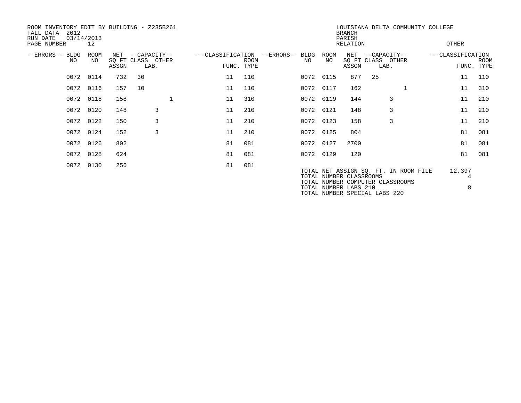| ROOM INVENTORY EDIT BY BUILDING - Z235B261<br>2012<br>FALL DATA<br>RUN DATE<br>PAGE NUMBER | 03/14/2013<br>12 |              |                                           |                   |                           |                        |            | <b>BRANCH</b><br>PARISH<br>RELATION              | LOUISIANA DELTA COMMUNITY COLLEGE                                         | OTHER             |        |                    |
|--------------------------------------------------------------------------------------------|------------------|--------------|-------------------------------------------|-------------------|---------------------------|------------------------|------------|--------------------------------------------------|---------------------------------------------------------------------------|-------------------|--------|--------------------|
| --ERRORS-- BLDG<br>NO                                                                      | ROOM<br>NO.      | NET<br>ASSGN | --CAPACITY--<br>SQ FT CLASS OTHER<br>LAB. | ---CLASSIFICATION | <b>ROOM</b><br>FUNC. TYPE | --ERRORS-- BLDG<br>NO. | ROOM<br>NO | NET<br>ASSGN                                     | --CAPACITY--<br>SQ FT CLASS OTHER<br>LAB.                                 | ---CLASSIFICATION |        | ROOM<br>FUNC. TYPE |
|                                                                                            | 0072 0114        | 732          | 30                                        | 11                | 110                       |                        | 0072 0115  | 877                                              | 25                                                                        |                   | 11     | 110                |
|                                                                                            | 0072 0116        | 157          | 10                                        | 11                | 110                       |                        | 0072 0117  | 162                                              |                                                                           |                   | 11     | 310                |
|                                                                                            | 0072 0118        | 158          | 1                                         | 11                | 310                       |                        | 0072 0119  | 144                                              | 3                                                                         |                   | 11     | 210                |
|                                                                                            | 0072 0120        | 148          | 3                                         | 11                | 210                       |                        | 0072 0121  | 148                                              | 3                                                                         |                   | 11     | 210                |
|                                                                                            | 0072 0122        | 150          | 3                                         | 11                | 210                       |                        | 0072 0123  | 158                                              | 3                                                                         |                   | 11     | 210                |
|                                                                                            | 0072 0124        | 152          | 3                                         | 11                | 210                       |                        | 0072 0125  | 804                                              |                                                                           |                   | 81     | 081                |
|                                                                                            | 0072 0126        | 802          |                                           | 81                | 081                       |                        | 0072 0127  | 2700                                             |                                                                           |                   | 81     | 081                |
|                                                                                            | 0072 0128        | 624          |                                           | 81                | 081                       |                        | 0072 0129  | 120                                              |                                                                           |                   | 81     | 081                |
|                                                                                            | 0072 0130        | 256          |                                           | 81                | 081                       |                        |            | TOTAL NUMBER CLASSROOMS<br>TOTAL NUMBER LABS 210 | TOTAL NET ASSIGN SQ. FT. IN ROOM FILE<br>TOTAL NUMBER COMPUTER CLASSROOMS | 12,397            | 4<br>8 |                    |

TOTAL NUMBER SPECIAL LABS 220